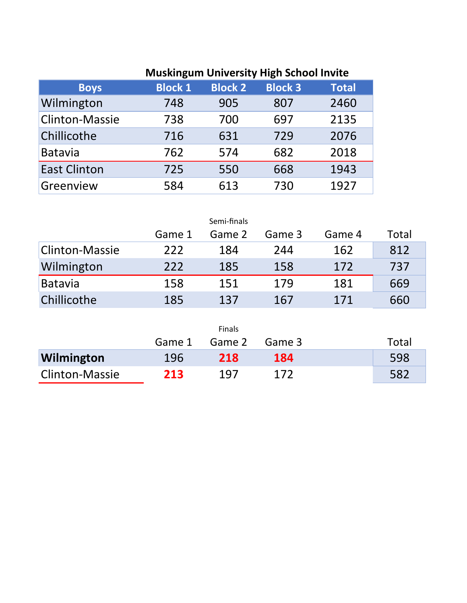## **Muskingum University High School Invite**

| <b>Boys</b>           | <b>Block 1</b> | <b>Block 2</b> | <b>Block 3</b> | <b>Total</b> |
|-----------------------|----------------|----------------|----------------|--------------|
| Wilmington            | 748            | 905            | 807            | 2460         |
| <b>Clinton-Massie</b> | 738            | 700            | 697            | 2135         |
| Chillicothe           | 716            | 631            | 729            | 2076         |
| <b>Batavia</b>        | 762            | 574            | 682            | 2018         |
| <b>East Clinton</b>   | 725            | 550            | 668            | 1943         |
| Greenview             | 584            | 613            | 730            | 1927         |

|                       |        | Semi-finals |        |        |       |
|-----------------------|--------|-------------|--------|--------|-------|
|                       | Game 1 | Game 2      | Game 3 | Game 4 | Total |
| <b>Clinton-Massie</b> | 222    | 184         | 244    | 162    | 812   |
| Wilmington            | 222    | 185         | 158    | 172    | 737   |
| Batavia               | 158    | 151         | 179    | 181    | 669   |
| Chillicothe           | 185    | 137         | 167    | 171    | 660   |

|                       |        | <b>Finals</b> |        |       |
|-----------------------|--------|---------------|--------|-------|
|                       | Game 1 | Game 2        | Game 3 | Total |
| Wilmington            | 196    | 218           | 184    | 598   |
| <b>Clinton-Massie</b> | 213    | 197           | 172    | 582   |